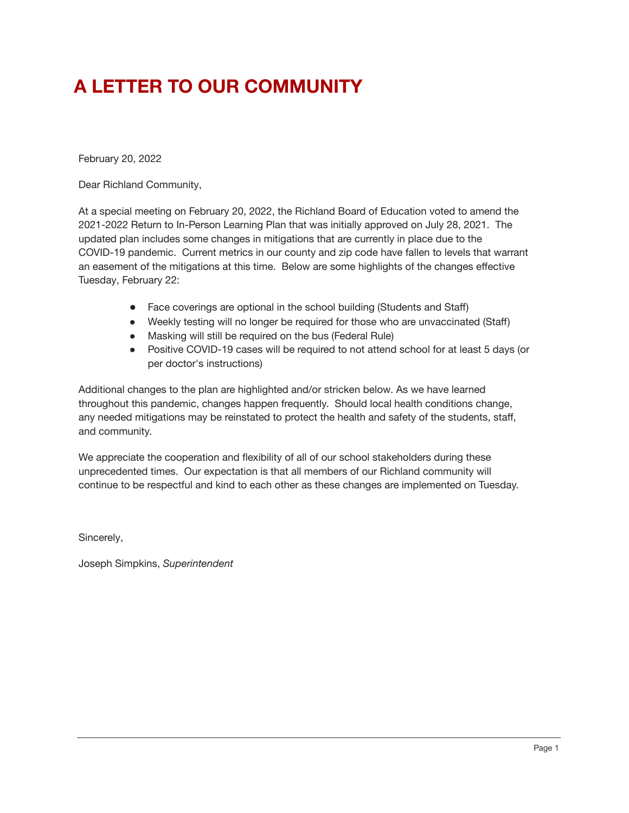# **A LETTER TO OUR COMMUNITY**

February 20, 2022

Dear Richland Community,

At a special meeting on February 20, 2022, the Richland Board of Education voted to amend the 2021-2022 Return to In-Person Learning Plan that was initially approved on July 28, 2021. The updated plan includes some changes in mitigations that are currently in place due to the COVID-19 pandemic. Current metrics in our county and zip code have fallen to levels that warrant an easement of the mitigations at this time. Below are some highlights of the changes effective Tuesday, February 22:

- Face coverings are optional in the school building (Students and Staff)
- Weekly testing will no longer be required for those who are unvaccinated (Staff)
- Masking will still be required on the bus (Federal Rule)
- Positive COVID-19 cases will be required to not attend school for at least 5 days (or per doctor's instructions)

Additional changes to the plan are highlighted and/or stricken below. As we have learned throughout this pandemic, changes happen frequently. Should local health conditions change, any needed mitigations may be reinstated to protect the health and safety of the students, staff, and community.

We appreciate the cooperation and flexibility of all of our school stakeholders during these unprecedented times. Our expectation is that all members of our Richland community will continue to be respectful and kind to each other as these changes are implemented on Tuesday.

Sincerely,

Joseph Simpkins, *Superintendent*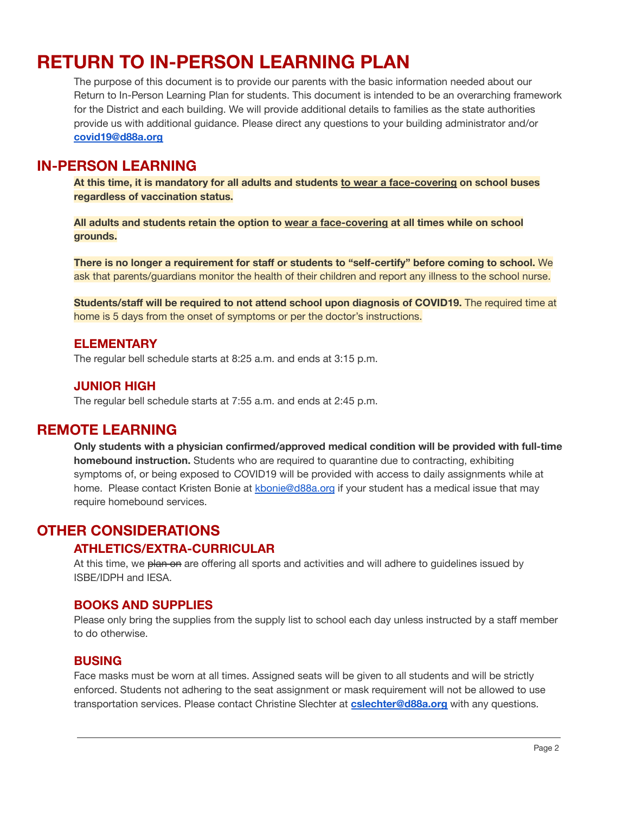# **RETURN TO IN-PERSON LEARNING PLAN**

The purpose of this document is to provide our parents with the basic information needed about our Return to In-Person Learning Plan for students. This document is intended to be an overarching framework for the District and each building. We will provide additional details to families as the state authorities provide us with additional guidance. Please direct any questions to your building administrator and/or **[covid19@d88a.org](mailto:covid19@d88a.org)**

### **IN-PERSON LEARNING**

**At this time, it is mandatory for all adults and students to wear a face-covering on school buses regardless of vaccination status.**

**All adults and students retain the option to wear a face-covering at all times while on school grounds.**

**There is no longer a requirement for staff or students to "self-certify" before coming to school.** We ask that parents/guardians monitor the health of their children and report any illness to the school nurse.

**Students/staff will be required to not attend school upon diagnosis of COVID19.** The required time at home is 5 days from the onset of symptoms or per the doctor's instructions.

#### **ELEMENTARY**

The regular bell schedule starts at 8:25 a.m. and ends at 3:15 p.m.

### **JUNIOR HIGH**

The regular bell schedule starts at 7:55 a.m. and ends at 2:45 p.m.

### **REMOTE LEARNING**

**Only students with a physician confirmed/approved medical condition will be provided with full-time homebound instruction.** Students who are required to quarantine due to contracting, exhibiting symptoms of, or being exposed to COVID19 will be provided with access to daily assignments while at home. Please contact Kristen Bonie at [kbonie@d88a.org](mailto:kbonie@d88a.org) if your student has a medical issue that may require homebound services.

### **OTHER CONSIDERATIONS**

### **ATHLETICS/EXTRA-CURRICULAR**

At this time, we plan on are offering all sports and activities and will adhere to guidelines issued by ISBE/IDPH and IESA.

#### **BOOKS AND SUPPLIES**

Please only bring the supplies from the supply list to school each day unless instructed by a staff member to do otherwise.

#### **BUSING**

Face masks must be worn at all times. Assigned seats will be given to all students and will be strictly enforced. Students not adhering to the seat assignment or mask requirement will not be allowed to use transportation services. Please contact Christine Slechter at **[cslechter@d88a.org](mailto:cslechter@d88a.org)** with any questions.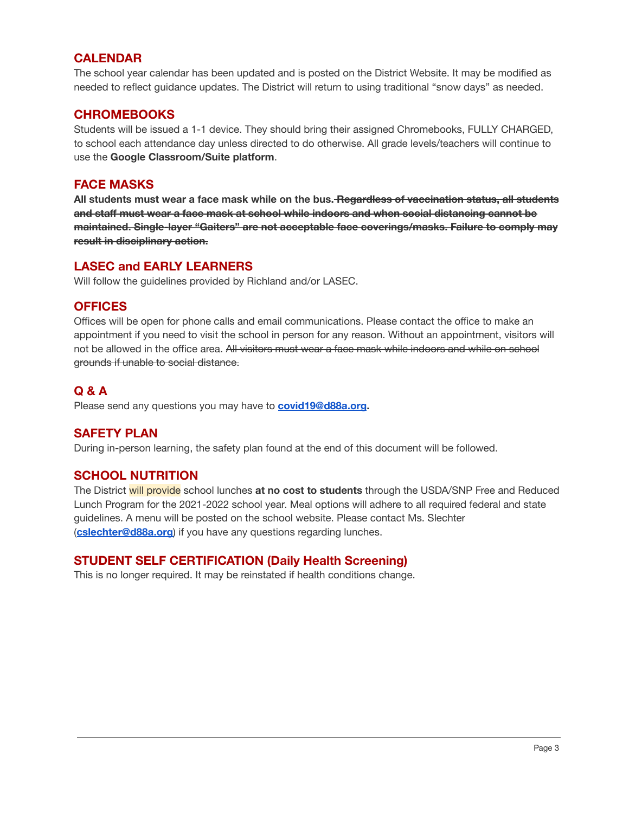### **CALENDAR**

The school year calendar has been updated and is posted on the District Website. It may be modified as needed to reflect guidance updates. The District will return to using traditional "snow days" as needed.

### **CHROMEBOOKS**

Students will be issued a 1-1 device. They should bring their assigned Chromebooks, FULLY CHARGED, to school each attendance day unless directed to do otherwise. All grade levels/teachers will continue to use the **Google Classroom/Suite platform**.

#### **FACE MASKS**

**All students must wear a face mask while on the bus. Regardless of vaccination status, all students and staff must wear a face mask at school while indoors and when social distancing cannot be maintained. Single-layer "Gaiters" are not acceptable face coverings/masks. Failure to comply may result in disciplinary action.**

### **LASEC and EARLY LEARNERS**

Will follow the guidelines provided by Richland and/or LASEC.

### **OFFICES**

Offices will be open for phone calls and email communications. Please contact the office to make an appointment if you need to visit the school in person for any reason. Without an appointment, visitors will not be allowed in the office area. All visitors must wear a face mask while indoors and while on school grounds if unable to social distance.

### **Q & A**

Please send any questions you may have to **[covid19@d88a.org](mailto:covid19@d88a.org).**

### **SAFETY PLAN**

During in-person learning, the safety plan found at the end of this document will be followed.

### **SCHOOL NUTRITION**

The District will provide school lunches **at no cost to students** through the USDA/SNP Free and Reduced Lunch Program for the 2021-2022 school year. Meal options will adhere to all required federal and state guidelines. A menu will be posted on the school website. Please contact Ms. Slechter (**[cslechter@d88a.org](mailto:cslechter@d88a.org)**) if you have any questions regarding lunches.

### **STUDENT SELF CERTIFICATION (Daily Health Screening)**

This is no longer required. It may be reinstated if health conditions change.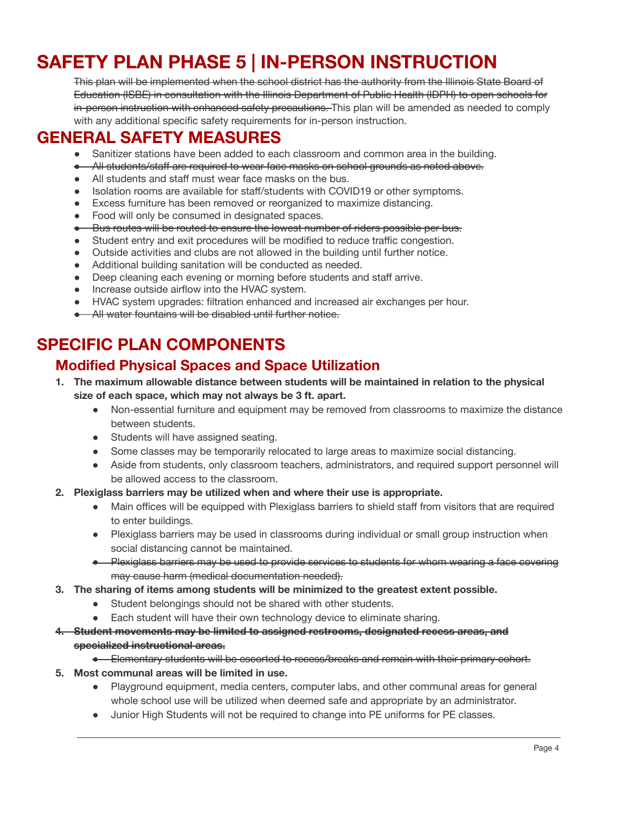# **SAFETY PLAN PHASE 5 | IN-PERSON INSTRUCTION**

This plan will be implemented when the school district has the authority from the Illinois State Board of Education (ISBE) in consultation with the Illinois Department of Public Health (IDPH) to open schools for in-person instruction with enhanced safety precautions. This plan will be amended as needed to comply with any additional specific safety requirements for in-person instruction.

# **GENERAL SAFETY MEASURES**

- Sanitizer stations have been added to each classroom and common area in the building.
- All students/staff are required to wear face masks on school grounds as noted above.
- All students and staff must wear face masks on the bus.
- Isolation rooms are available for staff/students with COVID19 or other symptoms.
- Excess furniture has been removed or reorganized to maximize distancing.
- Food will only be consumed in designated spaces.
- Bus routes will be routed to ensure the lowest number of riders possible per bus.
- Student entry and exit procedures will be modified to reduce traffic congestion.
- Outside activities and clubs are not allowed in the building until further notice.
- Additional building sanitation will be conducted as needed.
- Deep cleaning each evening or morning before students and staff arrive.
- Increase outside airflow into the HVAC system.
- HVAC system upgrades: filtration enhanced and increased air exchanges per hour.
- **All water fountains will be disabled until further notice.**

# **SPECIFIC PLAN COMPONENTS**

### **Modified Physical Spaces and Space Utilization**

- **1. The maximum allowable distance between students will be maintained in relation to the physical size of each space, which may not always be 3 ft. apart.**
	- Non-essential furniture and equipment may be removed from classrooms to maximize the distance between students.
	- Students will have assigned seating.
	- Some classes may be temporarily relocated to large areas to maximize social distancing.
	- Aside from students, only classroom teachers, administrators, and required support personnel will be allowed access to the classroom.
- **2. Plexiglass barriers may be utilized when and where their use is appropriate.**
	- Main offices will be equipped with Plexiglass barriers to shield staff from visitors that are required to enter buildings.
	- Plexiglass barriers may be used in classrooms during individual or small group instruction when social distancing cannot be maintained.
	- Plexiglass barriers may be used to provide services to students for whom wearing a face covering may cause harm (medical documentation needed).
- **3. The sharing of items among students will be minimized to the greatest extent possible.**
	- Student belongings should not be shared with other students.
	- Each student will have their own technology device to eliminate sharing.
- **4. Student movements may be limited to assigned restrooms, designated recess areas, and specialized instructional areas.**
	- Elementary students will be escorted to recess/breaks and remain with their primary cohort.
- **5. Most communal areas will be limited in use.**
	- Playground equipment, media centers, computer labs, and other communal areas for general whole school use will be utilized when deemed safe and appropriate by an administrator.
	- Junior High Students will not be required to change into PE uniforms for PE classes.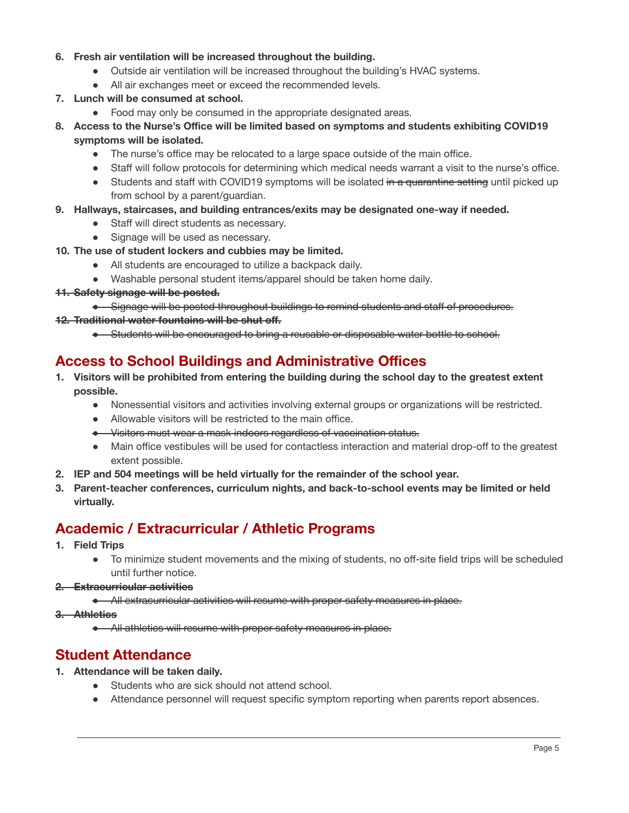#### **6. Fresh air ventilation will be increased throughout the building.**

- Outside air ventilation will be increased throughout the building's HVAC systems.
- All air exchanges meet or exceed the recommended levels.
- **7. Lunch will be consumed at school.**
	- Food may only be consumed in the appropriate designated areas.
- **8. Access to the Nurse's Office will be limited based on symptoms and students exhibiting COVID19 symptoms will be isolated.**
	- The nurse's office may be relocated to a large space outside of the main office.
	- Staff will follow protocols for determining which medical needs warrant a visit to the nurse's office.
	- Students and staff with COVID19 symptoms will be isolated in a quarantine setting until picked up from school by a parent/guardian.

#### **9. Hallways, staircases, and building entrances/exits may be designated one-way if needed.**

- Staff will direct students as necessary.
- Signage will be used as necessary.
- **10. The use of student lockers and cubbies may be limited.**
	- All students are encouraged to utilize a backpack daily.
	- Washable personal student items/apparel should be taken home daily.
- **11. Safety signage will be posted.**

#### ● Signage will be posted throughout buildings to remind students and staff of procedures.

#### **12. Traditional water fountains will be shut off.**

● Students will be encouraged to bring a reusable or disposable water bottle to school.

### **Access to School Buildings and Administrative Offices**

- **1. Visitors will be prohibited from entering the building during the school day to the greatest extent possible.**
	- Nonessential visitors and activities involving external groups or organizations will be restricted.
	- Allowable visitors will be restricted to the main office.
	- Visitors must wear a mask indoors regardless of vaccination status.
	- Main office vestibules will be used for contactless interaction and material drop-off to the greatest extent possible.
- **2. IEP and 504 meetings will be held virtually for the remainder of the school year.**
- **3. Parent-teacher conferences, curriculum nights, and back-to-school events may be limited or held virtually.**

## **Academic / Extracurricular / Athletic Programs**

- **1. Field Trips**
	- To minimize student movements and the mixing of students, no off-site field trips will be scheduled until further notice.

#### **2. Extracurricular activities**

- All extracurricular activities will resume with proper safety measures in place.
- **3. Athletics**
	- All athletics will resume with proper safety measures in place.

### **Student Attendance**

- **1. Attendance will be taken daily.**
	- Students who are sick should not attend school.
	- Attendance personnel will request specific symptom reporting when parents report absences.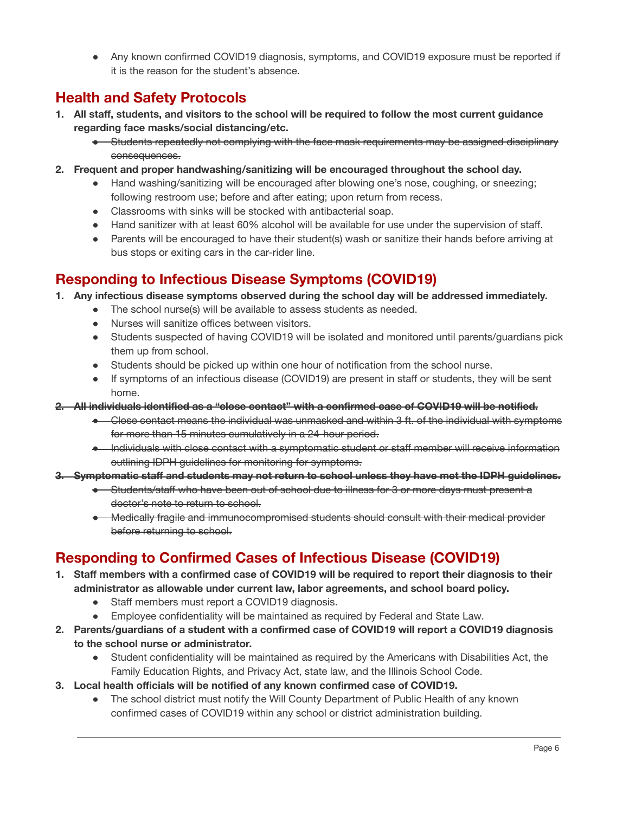● Any known confirmed COVID19 diagnosis, symptoms, and COVID19 exposure must be reported if it is the reason for the student's absence.

## **Health and Safety Protocols**

- 1. All staff, students, and visitors to the school will be required to follow the most current guidance **regarding face masks/social distancing/etc.**
	- Students repeatedly not complying with the face mask requirements may be assigned disciplinary consequences.
- **2. Frequent and proper handwashing/sanitizing will be encouraged throughout the school day.**
	- Hand washing/sanitizing will be encouraged after blowing one's nose, coughing, or sneezing; following restroom use; before and after eating; upon return from recess.
	- Classrooms with sinks will be stocked with antibacterial soap.
	- Hand sanitizer with at least 60% alcohol will be available for use under the supervision of staff.
	- Parents will be encouraged to have their student(s) wash or sanitize their hands before arriving at bus stops or exiting cars in the car-rider line.

### **Responding to Infectious Disease Symptoms (COVID19)**

- **1. Any infectious disease symptoms observed during the school day will be addressed immediately.**
	- The school nurse(s) will be available to assess students as needed.
	- Nurses will sanitize offices between visitors.
	- Students suspected of having COVID19 will be isolated and monitored until parents/guardians pick them up from school.
	- Students should be picked up within one hour of notification from the school nurse.
	- If symptoms of an infectious disease (COVID19) are present in staff or students, they will be sent home.
- **2. All individuals identified as a "close contact" with a confirmed case of COVID19 will be notified.**
	- Close contact means the individual was unmasked and within 3 ft. of the individual with symptoms for more than 15 minutes cumulatively in a 24-hour period.
	- Individuals with close contact with a symptomatic student or staff member will receive information outlining IDPH guidelines for monitoring for symptoms.
- **3. Symptomatic staff and students may not return to school unless they have met the IDPH guidelines.**
	- Students/staff who have been out of school due to illness for 3 or more days must present a doctor's note to return to school.
	- Medically fragile and immunocompromised students should consult with their medical provider before returning to school.

# **Responding to Confirmed Cases of Infectious Disease (COVID19)**

- 1. Staff members with a confirmed case of COVID19 will be required to report their diagnosis to their **administrator as allowable under current law, labor agreements, and school board policy.**
	- Staff members must report a COVID19 diagnosis.
	- Employee confidentiality will be maintained as required by Federal and State Law.
- **2. Parents/guardians of a student with a confirmed case of COVID19 will report a COVID19 diagnosis to the school nurse or administrator.**
	- Student confidentiality will be maintained as required by the Americans with Disabilities Act, the Family Education Rights, and Privacy Act, state law, and the Illinois School Code.
- **3. Local health officials will be notified of any known confirmed case of COVID19.**
	- The school district must notify the Will County Department of Public Health of any known confirmed cases of COVID19 within any school or district administration building.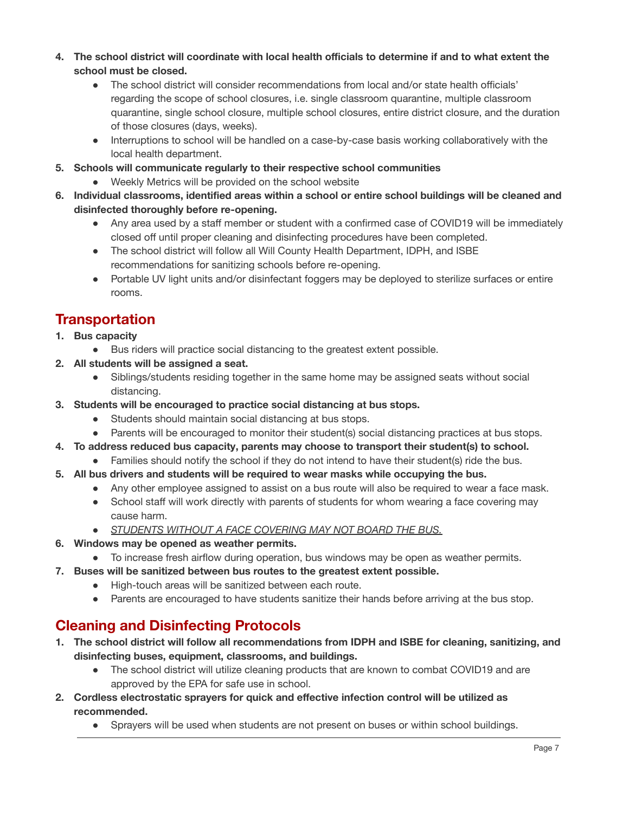- 4. The school district will coordinate with local health officials to determine if and to what extent the **school must be closed.**
	- The school district will consider recommendations from local and/or state health officials' regarding the scope of school closures, i.e. single classroom quarantine, multiple classroom quarantine, single school closure, multiple school closures, entire district closure, and the duration of those closures (days, weeks).
	- Interruptions to school will be handled on a case-by-case basis working collaboratively with the local health department.
- **5. Schools will communicate regularly to their respective school communities**
	- Weekly Metrics will be provided on the school website
- **6. Individual classrooms, identified areas within a school or entire school buildings will be cleaned and disinfected thoroughly before re-opening.**
	- Any area used by a staff member or student with a confirmed case of COVID19 will be immediately closed off until proper cleaning and disinfecting procedures have been completed.
	- The school district will follow all Will County Health Department, IDPH, and ISBE recommendations for sanitizing schools before re-opening.
	- Portable UV light units and/or disinfectant foggers may be deployed to sterilize surfaces or entire rooms.

## **Transportation**

- **1. Bus capacity**
	- Bus riders will practice social distancing to the greatest extent possible.
- **2. All students will be assigned a seat.**
	- Siblings/students residing together in the same home may be assigned seats without social distancing.
- **3. Students will be encouraged to practice social distancing at bus stops.**
	- Students should maintain social distancing at bus stops.
	- Parents will be encouraged to monitor their student(s) social distancing practices at bus stops.
- **4. To address reduced bus capacity, parents may choose to transport their student(s) to school.**
	- Families should notify the school if they do not intend to have their student(s) ride the bus.
- **5. All bus drivers and students will be required to wear masks while occupying the bus.**
	- Any other employee assigned to assist on a bus route will also be required to wear a face mask.
	- School staff will work directly with parents of students for whom wearing a face covering may cause harm.
	- *● STUDENTS WITHOUT A FACE COVERING MAY NOT BOARD THE BUS.*
- **6. Windows may be opened as weather permits.**
	- To increase fresh airflow during operation, bus windows may be open as weather permits.
- **7. Buses will be sanitized between bus routes to the greatest extent possible.**
	- High-touch areas will be sanitized between each route.
	- Parents are encouraged to have students sanitize their hands before arriving at the bus stop.

# **Cleaning and Disinfecting Protocols**

- **1. The school district will follow all recommendations from IDPH and ISBE for cleaning, sanitizing, and disinfecting buses, equipment, classrooms, and buildings.**
	- The school district will utilize cleaning products that are known to combat COVID19 and are approved by the EPA for safe use in school.
- **2. Cordless electrostatic sprayers for quick and effective infection control will be utilized as recommended.**
	- Sprayers will be used when students are not present on buses or within school buildings.